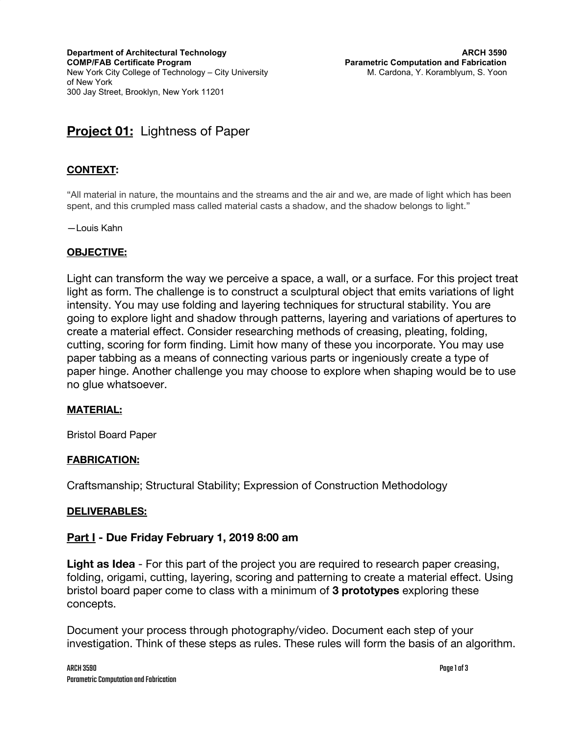**Department of Architectural Technology COMP/FAB Certificate Program** New York City College of Technology – City University of New York 300 Jay Street, Brooklyn, New York 11201

# **Project 01:** Lightness of Paper

## **CONTEXT:**

"All material in nature, the mountains and the streams and the air and we, are made of light which has been spent, and this crumpled mass called material casts a shadow, and the shadow belongs to light."

—Louis Kahn

#### **OBJECTIVE:**

Light can transform the way we perceive a space, a wall, or a surface. For this project treat light as form. The challenge is to construct a sculptural object that emits variations of light intensity. You may use folding and layering techniques for structural stability. You are going to explore light and shadow through patterns, layering and variations of apertures to create a material effect. Consider researching methods of creasing, pleating, folding, cutting, scoring for form finding. Limit how many of these you incorporate. You may use paper tabbing as a means of connecting various parts or ingeniously create a type of paper hinge. Another challenge you may choose to explore when shaping would be to use no glue whatsoever.

#### **MATERIAL:**

Bristol Board Paper

#### **FABRICATION:**

Craftsmanship; Structural Stability; Expression of Construction Methodology

#### **DELIVERABLES:**

#### **Part I - Due Friday February 1, 2019 8:00 am**

**Light as Idea** - For this part of the project you are required to research paper creasing, folding, origami, cutting, layering, scoring and patterning to create a material effect. Using bristol board paper come to class with a minimum of **3 prototypes** exploring these concepts.

Document your process through photography/video. Document each step of your investigation. Think of these steps as rules. These rules will form the basis of an algorithm.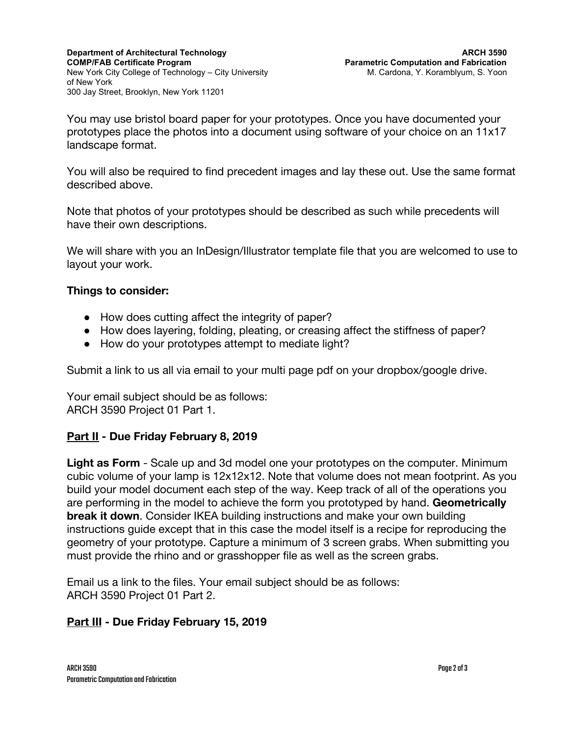You may use bristol board paper for your prototypes. Once you have documented your prototypes place the photos into a document using software of your choice on an 11x17 landscape format.

You will also be required to find precedent images and lay these out. Use the same format described above.

Note that photos of your prototypes should be described as such while precedents will have their own descriptions.

We will share with you an InDesign/Illustrator template file that you are welcomed to use to layout your work.

## **Things to consider:**

- How does cutting affect the integrity of paper?
- How does layering, folding, pleating, or creasing affect the stiffness of paper?
- How do your prototypes attempt to mediate light?

Submit a link to us all via email to your multi page pdf on your dropbox/google drive.

Your email subject should be as follows: ARCH 3590 Project 01 Part 1.

## **Part II - Due Friday February 8, 2019**

**Light as Form** - Scale up and 3d model one your prototypes on the computer. Minimum cubic volume of your lamp is 12x12x12. Note that volume does not mean footprint. As you build your model document each step of the way. Keep track of all of the operations you are performing in the model to achieve the form you prototyped by hand. **Geometrically break it down**. Consider IKEA building instructions and make your own building instructions guide except that in this case the model itself is a recipe for reproducing the geometry of your prototype. Capture a minimum of 3 screen grabs. When submitting you must provide the rhino and or grasshopper file as well as the screen grabs.

Email us a link to the files. Your email subject should be as follows: ARCH 3590 Project 01 Part 2.

## **Part III - Due Friday February 15, 2019**